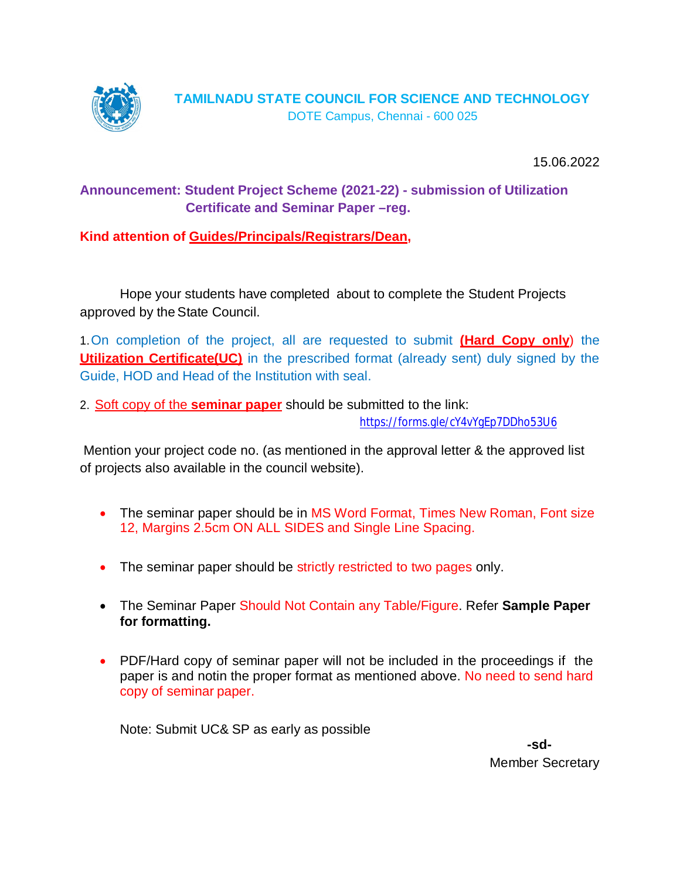

15.06.2022

# **Announcement: Student Project Scheme (2021-22) - submission of Utilization Certificate and Seminar Paper –reg.**

**Kind attention of Guides/Principals/Registrars/Dean,**

Hope your students have completed about to complete the Student Projects approved by the State Council.

1.On completion of the project, all are requested to submit **(Hard Copy only**) the **Utilization Certificate (UC)** in the prescribed format (already sent) duly signed by the Guide, HOD and Head of the Institution with seal.

2. Soft copy of the **seminar paper** should be submitted to the link:

<https://forms.gle/cY4vYgEp7DDho53U6>

Mention your project code no. (as mentioned in the approval letter & the approved list of projects also available in the council website).

- The seminar paper should be in MS Word Format, Times New Roman, Font size 12, Margins 2.5cm ON ALL SIDES and Single Line Spacing.
- The seminar paper should be strictly restricted to two pages only.
- The Seminar Paper Should Not Contain any Table/Figure. Refer **Sample Paper for formatting.**
- PDF/Hard copy of seminar paper will not be included in the proceedings if the paper is and notin the proper format as mentioned above. No need to send hard copy of seminar paper.

Note: Submit UC& SP as early as possible

**-sd-**Member Secretary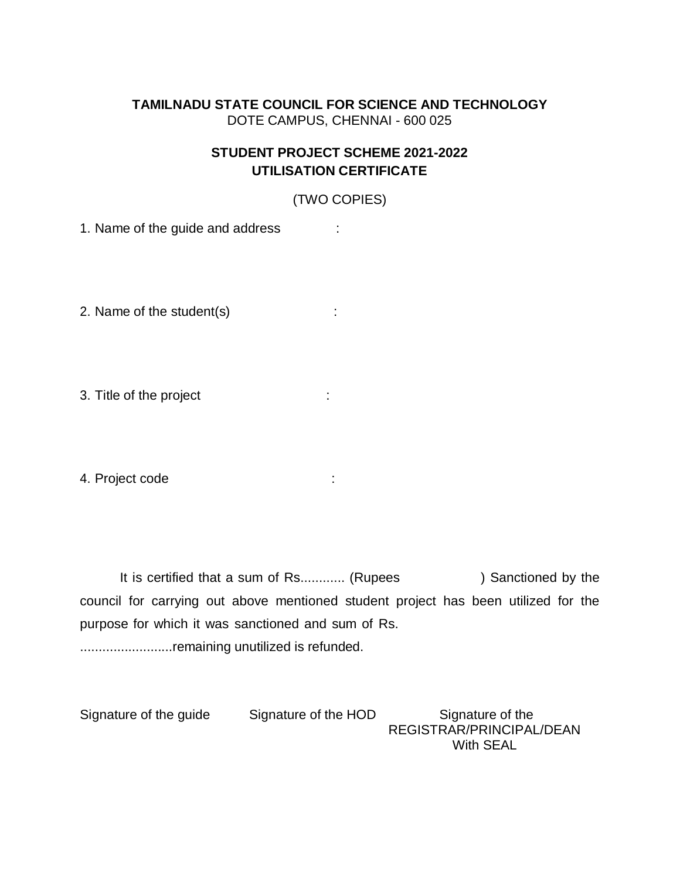## **TAMILNADU STATE COUNCIL FOR SCIENCE AND TECHNOLOGY** DOTE CAMPUS, CHENNAI - 600 025

## **STUDENT PROJECT SCHEME 2021-2022 UTILISATION CERTIFICATE**

(TWO COPIES)

1. Name of the guide and address :

2. Name of the student(s)  $\qquad \qquad$ :

3. Title of the project in the state of the project in the state of the state of the state of the state of the state of the state of the state of the state of the state of the state of the state of the state of the state o

4. Project code :

It is certified that a sum of Rs............ (Rupees ) Sanctioned by the council for carrying out above mentioned student project has been utilized for the purpose for which it was sanctioned and sum of Rs. ...............................remaining unutilized is refunded.

Signature of the guide Signature of the HOD Signature of the REGISTRAR/PRINCIPAL/DEAN With SEAL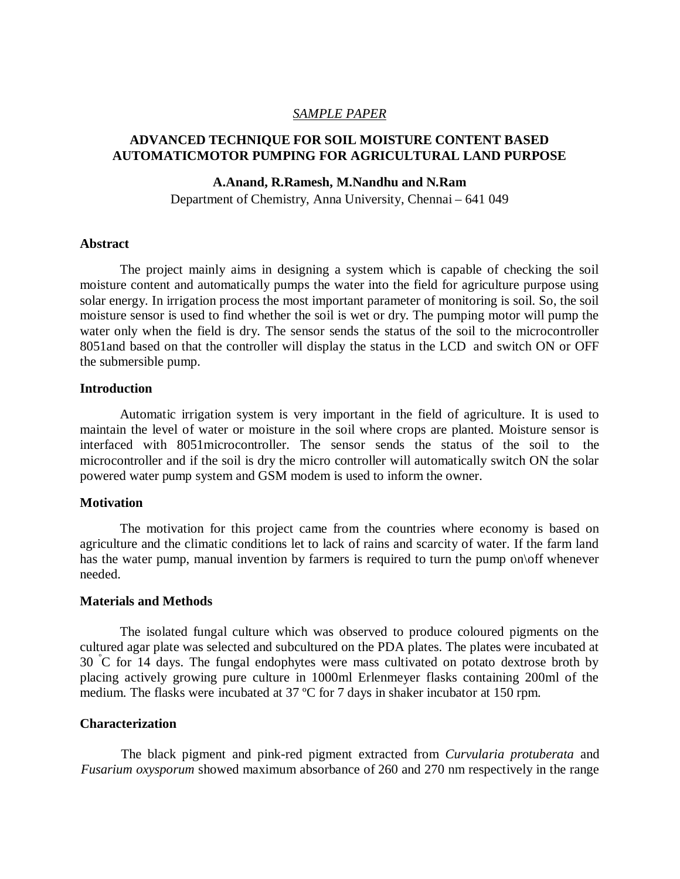### *SAMPLE PAPER*

## **ADVANCED TECHNIQUE FOR SOIL MOISTURE CONTENT BASED AUTOMATICMOTOR PUMPING FOR AGRICULTURAL LAND PURPOSE**

#### **A.Anand, R.Ramesh, M.Nandhu and N.Ram**

Department of Chemistry, Anna University, Chennai – 641 049

#### **Abstract**

The project mainly aims in designing a system which is capable of checking the soil moisture content and automatically pumps the water into the field for agriculture purpose using solar energy. In irrigation process the most important parameter of monitoring is soil. So, the soil moisture sensor is used to find whether the soil is wet or dry. The pumping motor will pump the water only when the field is dry. The sensor sends the status of the soil to the microcontroller 8051and based on that the controller will display the status in the LCD and switch ON or OFF the submersible pump.

#### **Introduction**

Automatic irrigation system is very important in the field of agriculture. It is used to maintain the level of water or moisture in the soil where crops are planted. Moisture sensor is interfaced with 8051microcontroller. The sensor sends the status of the soil to the microcontroller and if the soil is dry the micro controller will automatically switch ON the solar powered water pump system and GSM modem is used to inform the owner.

#### **Motivation**

The motivation for this project came from the countries where economy is based on agriculture and the climatic conditions let to lack of rains and scarcity of water. If the farm land has the water pump, manual invention by farmers is required to turn the pump on of whenever needed.

#### **Materials and Methods**

The isolated fungal culture which was observed to produce coloured pigments on the cultured agar plate was selected and subcultured on the PDA plates. The plates were incubated at 30 <sup>º</sup>C for 14 days. The fungal endophytes were mass cultivated on potato dextrose broth by placing actively growing pure culture in 1000ml Erlenmeyer flasks containing 200ml of the medium. The flasks were incubated at 37 ºC for 7 days in shaker incubator at 150 rpm.

#### **Characterization**

The black pigment and pink-red pigment extracted from *Curvularia protuberata* and *Fusarium oxysporum* showed maximum absorbance of 260 and 270 nm respectively in the range